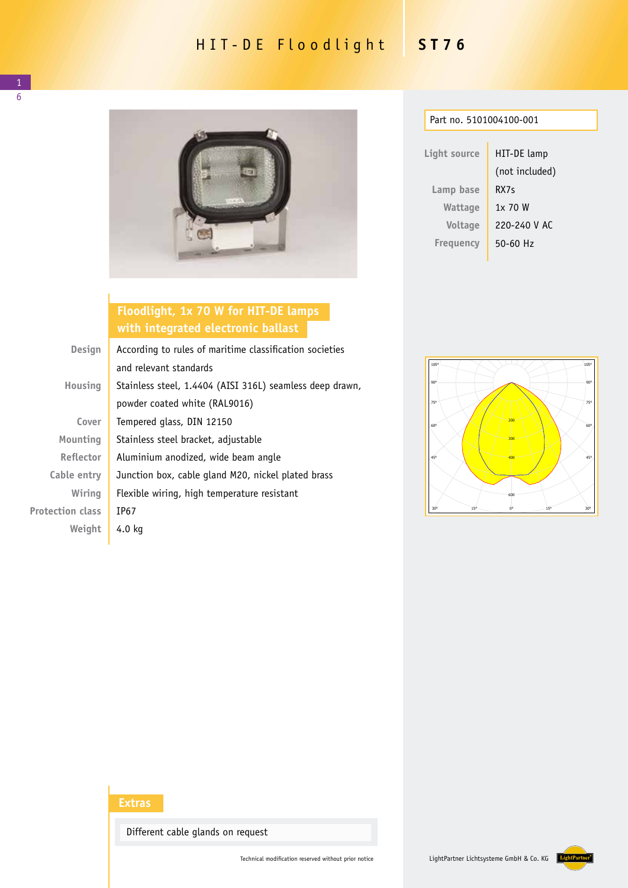## HIT-DE Floodlight **ST76**



## **Floodlight, 1x 70 W for HIT-DE lamps with integrated electronic ballast**

| <b>Design</b>           | According to rules of maritime classification societies  |  |
|-------------------------|----------------------------------------------------------|--|
|                         | and relevant standards                                   |  |
| Housing                 | Stainless steel, 1.4404 (AISI 316L) seamless deep drawn, |  |
|                         | powder coated white (RAL9016)                            |  |
| Cover                   | Tempered glass, DIN 12150                                |  |
| Mounting                | Stainless steel bracket, adjustable                      |  |
| <b>Reflector</b>        | Aluminium anodized, wide beam angle                      |  |
| Cable entry             | Junction box, cable gland M20, nickel plated brass       |  |
| Wiring                  | Flexible wiring, high temperature resistant              |  |
| <b>Protection class</b> | IP67                                                     |  |
| Weight                  | 4.0 kg                                                   |  |

| Part no. 5101004100-001 |                |  |  |  |
|-------------------------|----------------|--|--|--|
|                         |                |  |  |  |
| Light source            | HIT-DE lamp    |  |  |  |
|                         | (not included) |  |  |  |
| Lamp base               | RX7s           |  |  |  |
| Wattage                 | 1x 70 W        |  |  |  |
| Voltage                 | 220-240 V AC   |  |  |  |
| <b>Freguency</b>        | 50-60 Hz       |  |  |  |
|                         |                |  |  |  |



## **Extras**

Different cable glands on request